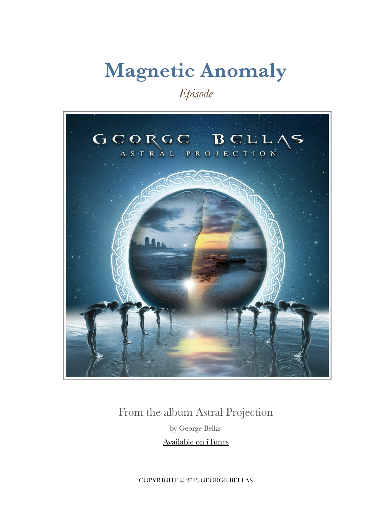## **Magnetic Anomaly**

*Episode*



### From the album Astral Projection by George Bellas

[Available on iTunes](https://itunes.apple.com/us/album/astral-projection/id646714673)

COPYRIGHT © 2013 GEORGE BELLAS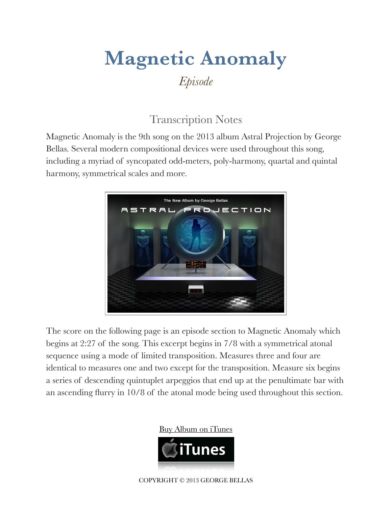### **Magnetic Anomaly** *Episode*

#### Transcription Notes

Magnetic Anomaly is the 9th song on the 2013 album Astral Projection by George Bellas. Several modern compositional devices were used throughout this song, including a myriad of syncopated odd-meters, poly-harmony, quartal and quintal harmony, symmetrical scales and more.



The score on the following page is an episode section to Magnetic Anomaly which begins at 2:27 of the song. This excerpt begins in 7/8 with a symmetrical atonal sequence using a mode of limited transposition. Measures three and four are identical to measures one and two except for the transposition. Measure six begins a series of descending quintuplet arpeggios that end up at the penultimate bar with an ascending flurry in 10/8 of the atonal mode being used throughout this section.





COPYRIGHT © 2013 GEORGE BELLAS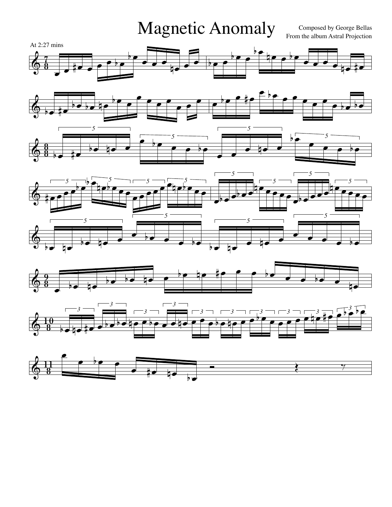